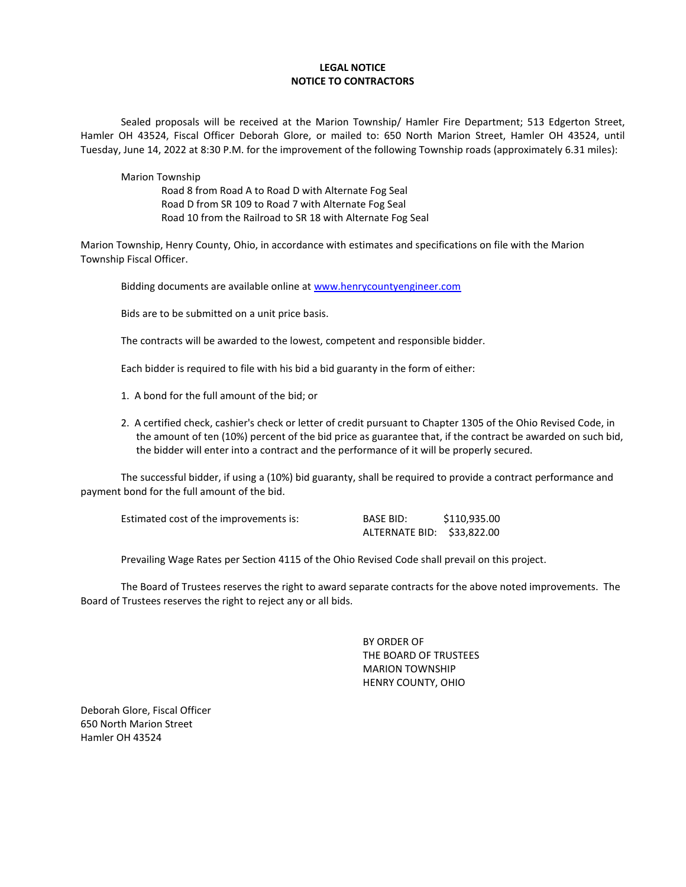### **LEGAL NOTICE NOTICE TO CONTRACTORS**

Sealed proposals will be received at the Marion Township/ Hamler Fire Department; 513 Edgerton Street, Hamler OH 43524, Fiscal Officer Deborah Glore, or mailed to: 650 North Marion Street, Hamler OH 43524, until Tuesday, June 14, 2022 at 8:30 P.M. for the improvement of the following Township roads (approximately 6.31 miles):

Marion Township

Road 8 from Road A to Road D with Alternate Fog Seal Road D from SR 109 to Road 7 with Alternate Fog Seal Road 10 from the Railroad to SR 18 with Alternate Fog Seal

Marion Township, Henry County, Ohio, in accordance with estimates and specifications on file with the Marion Township Fiscal Officer.

Bidding documents are available online at [www.henrycountyengineer.com](http://www.henrycountyengineer.com/)

Bids are to be submitted on a unit price basis.

The contracts will be awarded to the lowest, competent and responsible bidder.

Each bidder is required to file with his bid a bid guaranty in the form of either:

- 1. A bond for the full amount of the bid; or
- 2. A certified check, cashier's check or letter of credit pursuant to Chapter 1305 of the Ohio Revised Code, in the amount of ten (10%) percent of the bid price as guarantee that, if the contract be awarded on such bid, the bidder will enter into a contract and the performance of it will be properly secured.

The successful bidder, if using a (10%) bid guaranty, shall be required to provide a contract performance and payment bond for the full amount of the bid.

| Estimated cost of the improvements is: | <b>BASE BID:</b>           | \$110,935.00 |
|----------------------------------------|----------------------------|--------------|
|                                        | ALTERNATE BID: \$33,822.00 |              |

Prevailing Wage Rates per Section 4115 of the Ohio Revised Code shall prevail on this project.

The Board of Trustees reserves the right to award separate contracts for the above noted improvements. The Board of Trustees reserves the right to reject any or all bids.

> BY ORDER OF THE BOARD OF TRUSTEES MARION TOWNSHIP HENRY COUNTY, OHIO

Deborah Glore, Fiscal Officer 650 North Marion Street Hamler OH 43524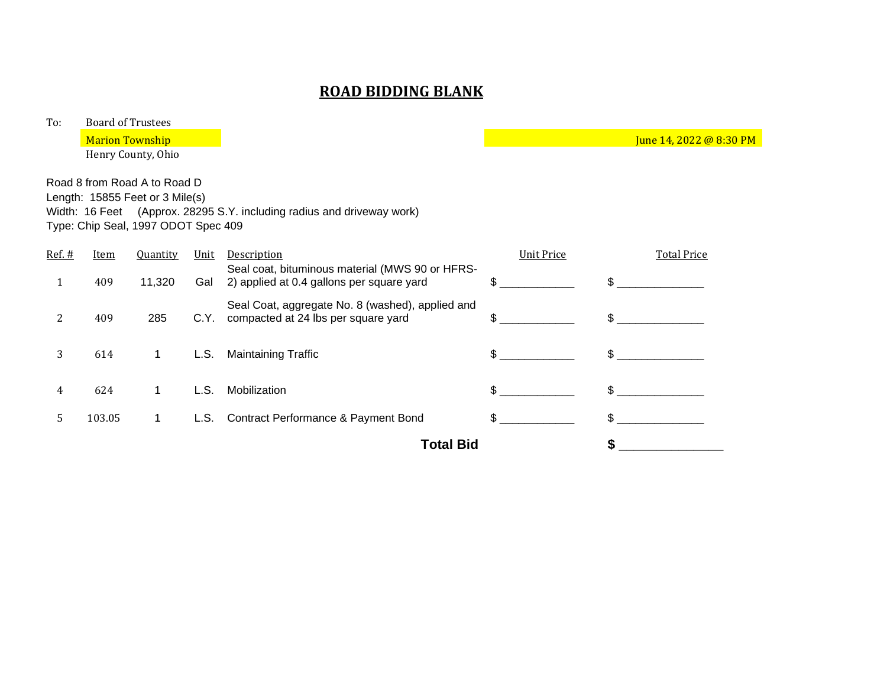# **ROAD BIDDING BLANK**

To: Board of Trustees

Marion Township June 14, 2022 @ 8:30 PM

Henry County, Ohio

Road 8 from Road A to Road D Length: 15855 Feet or 3 Mile(s) Width: 16 Feet (Approx. 28295 S.Y. including radius and driveway work) Type: Chip Seal, 1997 ODOT Spec 409

| $Ref.$ # | <b>Item</b> | <b>Quantity</b> | <u>Unit</u> | Description                                                                                  | <b>Unit Price</b> | <b>Total Price</b> |
|----------|-------------|-----------------|-------------|----------------------------------------------------------------------------------------------|-------------------|--------------------|
|          | 409         | 11,320          | Gal         | Seal coat, bituminous material (MWS 90 or HFRS-<br>2) applied at 0.4 gallons per square yard | \$.               | \$.                |
| 2        | 409         | 285             | C.Y.        | Seal Coat, aggregate No. 8 (washed), applied and<br>compacted at 24 lbs per square yard      | \$.               | \$                 |
| 3        | 614         | 1.              | L.S.        | <b>Maintaining Traffic</b>                                                                   | \$.               | \$                 |
| 4        | 624         |                 | L.S.        | Mobilization                                                                                 |                   |                    |
| 5        | 103.05      | 1.              | L.S.        | Contract Performance & Payment Bond                                                          | \$.               | \$.                |
|          |             |                 |             | <b>Total Bid</b>                                                                             |                   |                    |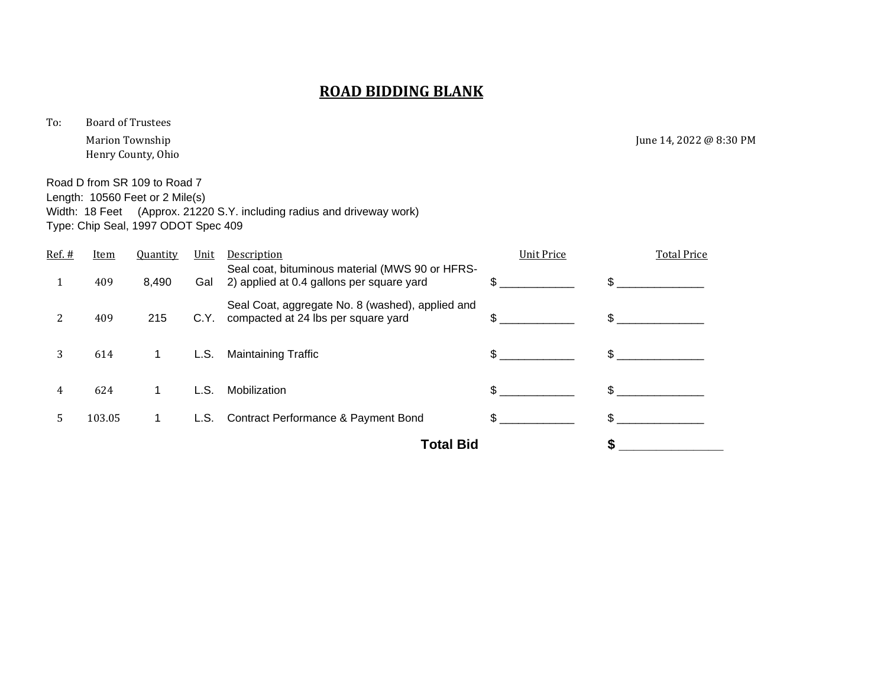# **ROAD BIDDING BLANK**

To: Board of Trustees

Henry County, Ohio

Marion Township June 14, 2022 @ 8:30 PM

Road D from SR 109 to Road 7 Length: 10560 Feet or 2 Mile(s) Width: 18 Feet (Approx. 21220 S.Y. including radius and driveway work) Type: Chip Seal, 1997 ODOT Spec 409

| $Ref.$ # | Item   | <b>Quantity</b> | Unit | Description                                                                                  | <b>Unit Price</b> | <b>Total Price</b> |
|----------|--------|-----------------|------|----------------------------------------------------------------------------------------------|-------------------|--------------------|
|          | 409    | 8,490           | Gal  | Seal coat, bituminous material (MWS 90 or HFRS-<br>2) applied at 0.4 gallons per square yard |                   |                    |
| 2        | 409    | 215             | C.Y. | Seal Coat, aggregate No. 8 (washed), applied and<br>compacted at 24 lbs per square yard      | \$.               |                    |
| 3        | 614    |                 | L.S. | <b>Maintaining Traffic</b>                                                                   | \$                | \$                 |
| 4        | 624    |                 | L.S. | Mobilization                                                                                 |                   |                    |
| 5        | 103.05 |                 | L.S. | Contract Performance & Payment Bond                                                          | \$.               |                    |
|          |        |                 |      | Total Bid                                                                                    |                   |                    |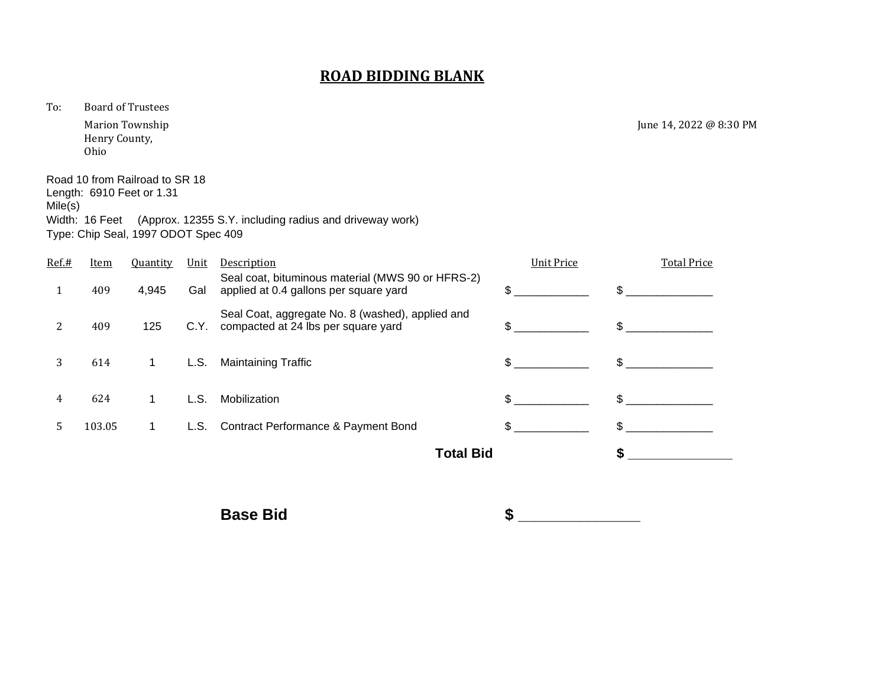### **ROAD BIDDING BLANK**

To: Board of Trustees

Henry County, Ohio

Road 10 from Railroad to SR 18 Length: 6910 Feet or 1.31 Mile(s) Width: 16 Feet (Approx. 12355 S.Y. including radius and driveway work) Type: Chip Seal, 1997 ODOT Spec 409

| Ref.# | <b>Item</b> | <b>Quantity</b> | Unit | Description                                                                                 | <b>Unit Price</b> | <b>Total Price</b> |
|-------|-------------|-----------------|------|---------------------------------------------------------------------------------------------|-------------------|--------------------|
|       | 409         | 4,945           | Gal  | Seal coat, bituminous material (MWS 90 or HFRS-2)<br>applied at 0.4 gallons per square yard | \$                | $\mathfrak{L}$     |
| 2     | 409         | 125             | C.Y. | Seal Coat, aggregate No. 8 (washed), applied and<br>compacted at 24 lbs per square yard     | \$                | \$                 |
| 3     | 614         | 1               | L.S. | <b>Maintaining Traffic</b>                                                                  | \$                | \$                 |
| 4     | 624         | 1               | L.S. | Mobilization                                                                                | \$                | \$.                |
| 5.    | 103.05      | 1               | L.S. | Contract Performance & Payment Bond                                                         | \$                |                    |
|       |             |                 |      | <b>Total Bid</b>                                                                            |                   |                    |
|       |             |                 |      |                                                                                             |                   |                    |

**Base Bid \$** 

Marion Township June 14, 2022 @ 8:30 PM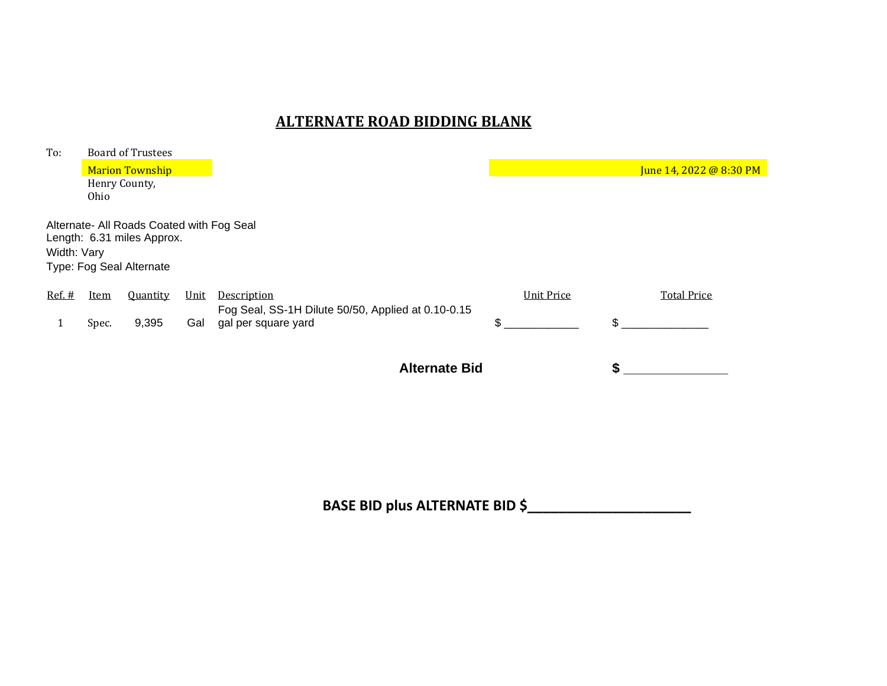# **ALTERNATE ROAD BIDDING BLANK**

| To:         |             | <b>Board of Trustees</b>                                                                            |      |                                                                           |                   |                         |
|-------------|-------------|-----------------------------------------------------------------------------------------------------|------|---------------------------------------------------------------------------|-------------------|-------------------------|
|             |             | <b>Marion Township</b>                                                                              |      |                                                                           |                   | June 14, 2022 @ 8:30 PM |
|             |             | Henry County,                                                                                       |      |                                                                           |                   |                         |
|             | Ohio        |                                                                                                     |      |                                                                           |                   |                         |
| Width: Vary |             | Alternate- All Roads Coated with Fog Seal<br>Length: 6.31 miles Approx.<br>Type: Fog Seal Alternate |      |                                                                           |                   |                         |
| $Ref.$ #    | <b>Item</b> | Quantity                                                                                            | Unit | Description                                                               | <b>Unit Price</b> | <b>Total Price</b>      |
|             | Spec.       | 9,395                                                                                               | Gal  | Fog Seal, SS-1H Dilute 50/50, Applied at 0.10-0.15<br>gal per square yard | \$                | \$.                     |
|             |             |                                                                                                     |      | <b>Alternate Bid</b>                                                      |                   |                         |

**BASE BID plus ALTERNATE BID \$\_\_\_\_\_\_\_\_\_\_\_\_\_\_\_\_\_\_\_\_\_**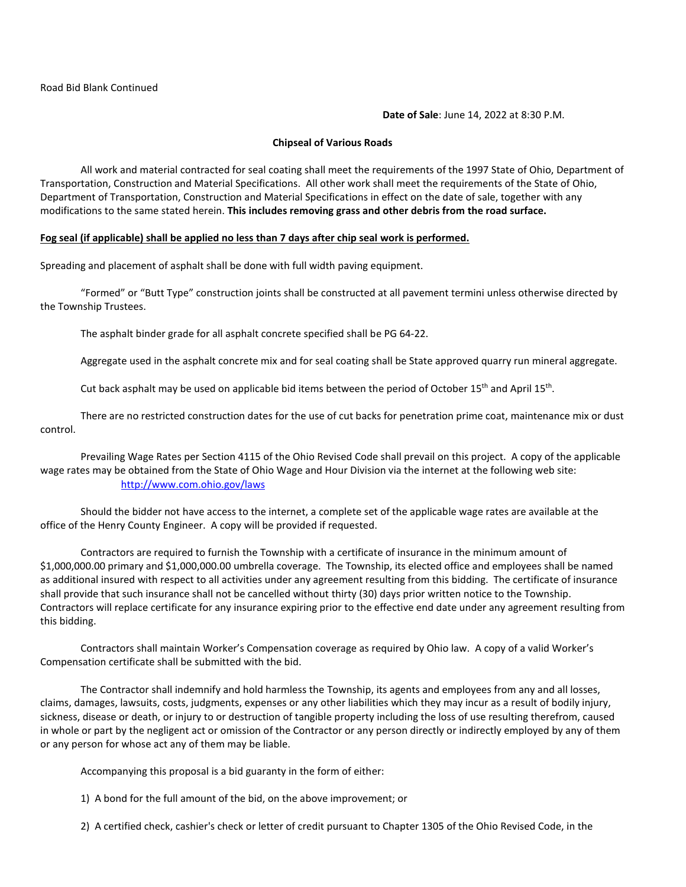**Date of Sale**: June 14, 2022 at 8:30 P.M.

### **Chipseal of Various Roads**

All work and material contracted for seal coating shall meet the requirements of the 1997 State of Ohio, Department of Transportation, Construction and Material Specifications. All other work shall meet the requirements of the State of Ohio, Department of Transportation, Construction and Material Specifications in effect on the date of sale, together with any modifications to the same stated herein. **This includes removing grass and other debris from the road surface.**

#### **Fog seal (if applicable) shall be applied no less than 7 days after chip seal work is performed.**

Spreading and placement of asphalt shall be done with full width paving equipment.

"Formed" or "Butt Type" construction joints shall be constructed at all pavement termini unless otherwise directed by the Township Trustees.

The asphalt binder grade for all asphalt concrete specified shall be PG 64-22.

Aggregate used in the asphalt concrete mix and for seal coating shall be State approved quarry run mineral aggregate.

Cut back asphalt may be used on applicable bid items between the period of October 15<sup>th</sup> and April 15<sup>th</sup>.

There are no restricted construction dates for the use of cut backs for penetration prime coat, maintenance mix or dust control.

Prevailing Wage Rates per Section 4115 of the Ohio Revised Code shall prevail on this project. A copy of the applicable wage rates may be obtained from the State of Ohio Wage and Hour Division via the internet at the following web site: <http://www.com.ohio.gov/laws>

Should the bidder not have access to the internet, a complete set of the applicable wage rates are available at the office of the Henry County Engineer. A copy will be provided if requested.

Contractors are required to furnish the Township with a certificate of insurance in the minimum amount of \$1,000,000.00 primary and \$1,000,000.00 umbrella coverage. The Township, its elected office and employees shall be named as additional insured with respect to all activities under any agreement resulting from this bidding. The certificate of insurance shall provide that such insurance shall not be cancelled without thirty (30) days prior written notice to the Township. Contractors will replace certificate for any insurance expiring prior to the effective end date under any agreement resulting from this bidding.

Contractors shall maintain Worker's Compensation coverage as required by Ohio law. A copy of a valid Worker's Compensation certificate shall be submitted with the bid.

The Contractor shall indemnify and hold harmless the Township, its agents and employees from any and all losses, claims, damages, lawsuits, costs, judgments, expenses or any other liabilities which they may incur as a result of bodily injury, sickness, disease or death, or injury to or destruction of tangible property including the loss of use resulting therefrom, caused in whole or part by the negligent act or omission of the Contractor or any person directly or indirectly employed by any of them or any person for whose act any of them may be liable.

Accompanying this proposal is a bid guaranty in the form of either:

1) A bond for the full amount of the bid, on the above improvement; or

2) A certified check, cashier's check or letter of credit pursuant to Chapter 1305 of the Ohio Revised Code, in the